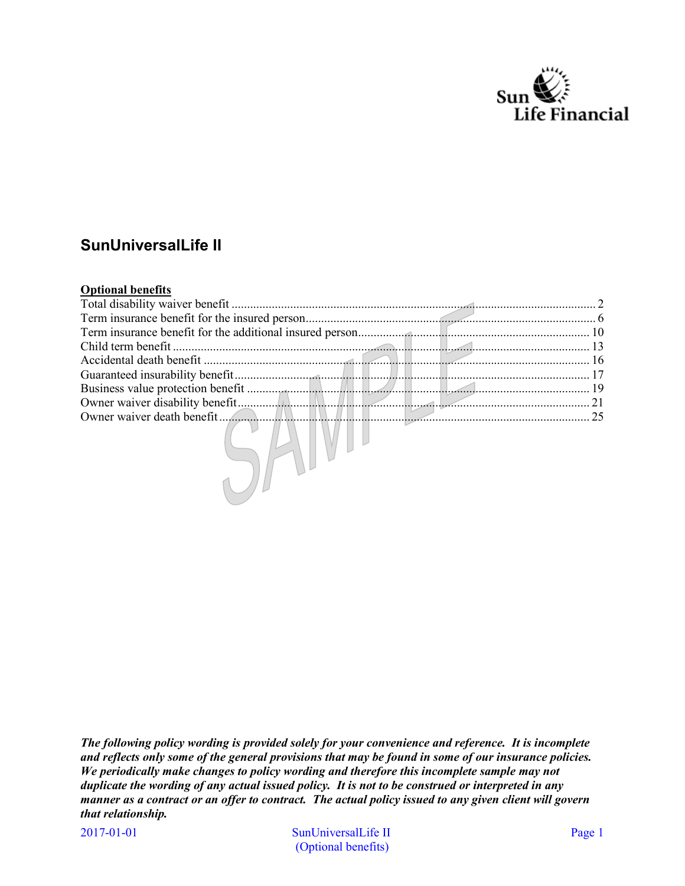

# **SunUniversalLife II**

#### **Optional benefits**

| Total disability waiver benefit |  |  |           |
|---------------------------------|--|--|-----------|
|                                 |  |  |           |
|                                 |  |  |           |
|                                 |  |  |           |
|                                 |  |  | $\sim$ 16 |
|                                 |  |  |           |
|                                 |  |  |           |
|                                 |  |  | 21        |
|                                 |  |  | 25        |
|                                 |  |  |           |

*The following policy wording is provided solely for your convenience and reference. It is incomplete and reflects only some of the general provisions that may be found in some of our insurance policies. We periodically make changes to policy wording and therefore this incomplete sample may not duplicate the wording of any actual issued policy. It is not to be construed or interpreted in any manner as a contract or an offer to contract. The actual policy issued to any given client will govern that relationship.*

2017-01-01

SunUniversalLife II Page 1 (Optional benefits)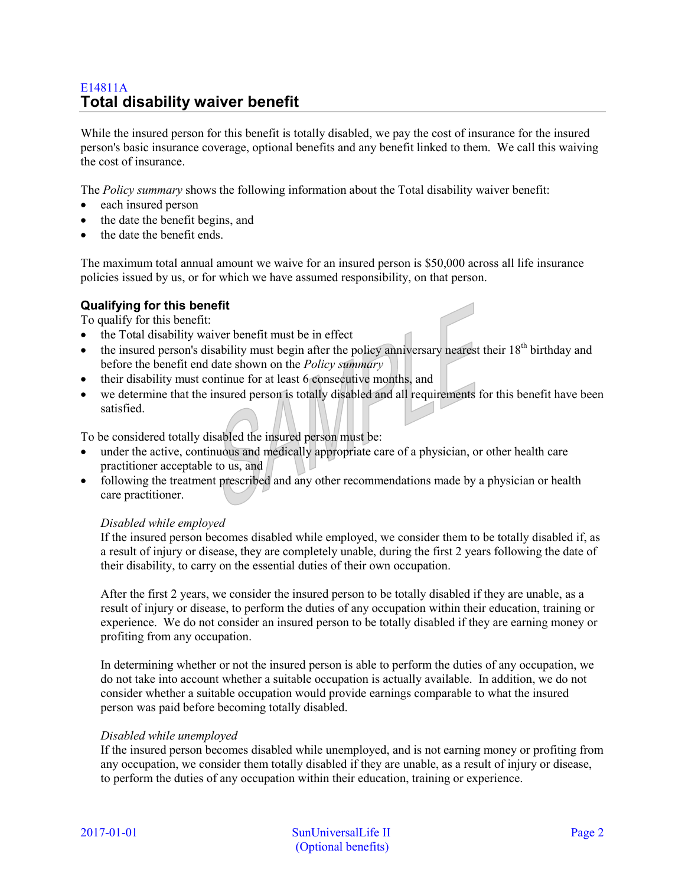# <span id="page-1-0"></span>E14811A **Total disability waiver benefit**

While the insured person for this benefit is totally disabled, we pay the cost of insurance for the insured person's basic insurance coverage, optional benefits and any benefit linked to them. We call this waiving the cost of insurance.

The *Policy summary* shows the following information about the Total disability waiver benefit:

- each insured person
- the date the benefit begins, and
- the date the benefit ends.

The maximum total annual amount we waive for an insured person is \$50,000 across all life insurance policies issued by us, or for which we have assumed responsibility, on that person.

#### **Qualifying for this benefit**

To qualify for this benefit:

- the Total disability waiver benefit must be in effect
- the insured person's disability must begin after the policy anniversary nearest their  $18<sup>th</sup>$  birthday and before the benefit end date shown on the *Policy summary*
- their disability must continue for at least 6 consecutive months, and
- we determine that the insured person is totally disabled and all requirements for this benefit have been satisfied.

To be considered totally disabled the insured person must be:

- under the active, continuous and medically appropriate care of a physician, or other health care practitioner acceptable to us, and
- following the treatment prescribed and any other recommendations made by a physician or health care practitioner.

#### *Disabled while employed*

If the insured person becomes disabled while employed, we consider them to be totally disabled if, as a result of injury or disease, they are completely unable, during the first 2 years following the date of their disability, to carry on the essential duties of their own occupation.

After the first 2 years, we consider the insured person to be totally disabled if they are unable, as a result of injury or disease, to perform the duties of any occupation within their education, training or experience. We do not consider an insured person to be totally disabled if they are earning money or profiting from any occupation.

In determining whether or not the insured person is able to perform the duties of any occupation, we do not take into account whether a suitable occupation is actually available. In addition, we do not consider whether a suitable occupation would provide earnings comparable to what the insured person was paid before becoming totally disabled.

#### *Disabled while unemployed*

If the insured person becomes disabled while unemployed, and is not earning money or profiting from any occupation, we consider them totally disabled if they are unable, as a result of injury or disease, to perform the duties of any occupation within their education, training or experience.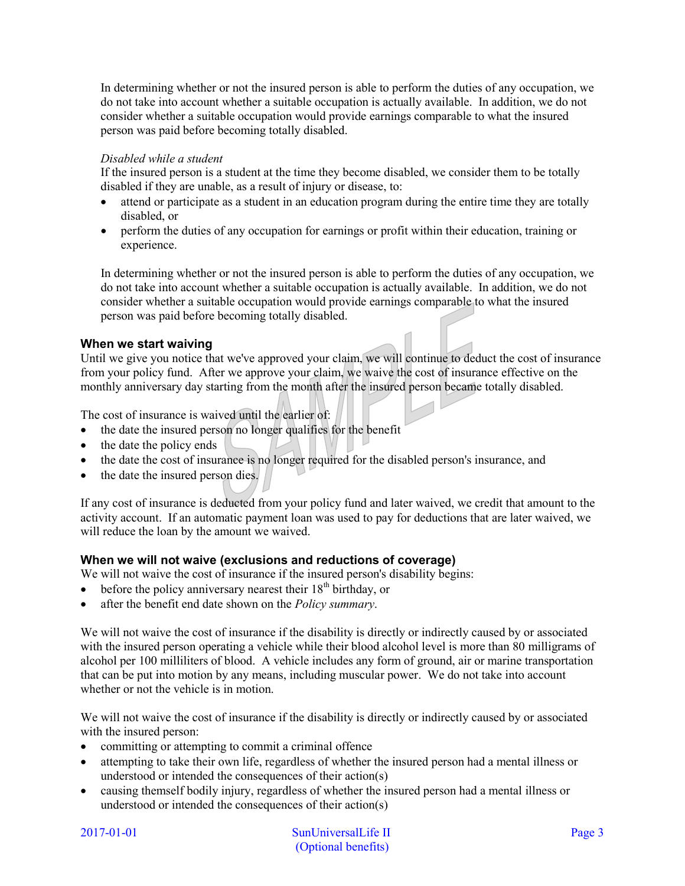In determining whether or not the insured person is able to perform the duties of any occupation, we do not take into account whether a suitable occupation is actually available. In addition, we do not consider whether a suitable occupation would provide earnings comparable to what the insured person was paid before becoming totally disabled.

# *Disabled while a student*

If the insured person is a student at the time they become disabled, we consider them to be totally disabled if they are unable, as a result of injury or disease, to:

- attend or participate as a student in an education program during the entire time they are totally disabled, or
- perform the duties of any occupation for earnings or profit within their education, training or experience.

In determining whether or not the insured person is able to perform the duties of any occupation, we do not take into account whether a suitable occupation is actually available. In addition, we do not consider whether a suitable occupation would provide earnings comparable to what the insured person was paid before becoming totally disabled.

# **When we start waiving**

Until we give you notice that we've approved your claim, we will continue to deduct the cost of insurance from your policy fund. After we approve your claim, we waive the cost of insurance effective on the monthly anniversary day starting from the month after the insured person became totally disabled.

The cost of insurance is waived until the earlier of:

- the date the insured person no longer qualifies for the benefit
- the date the policy ends
- the date the cost of insurance is no longer required for the disabled person's insurance, and
- the date the insured person dies.

If any cost of insurance is deducted from your policy fund and later waived, we credit that amount to the activity account. If an automatic payment loan was used to pay for deductions that are later waived, we will reduce the loan by the amount we waived.

# **When we will not waive (exclusions and reductions of coverage)**

We will not waive the cost of insurance if the insured person's disability begins:

- before the policy anniversary nearest their  $18<sup>th</sup>$  birthday, or
- after the benefit end date shown on the *Policy summary*.

We will not waive the cost of insurance if the disability is directly or indirectly caused by or associated with the insured person operating a vehicle while their blood alcohol level is more than 80 milligrams of alcohol per 100 milliliters of blood. A vehicle includes any form of ground, air or marine transportation that can be put into motion by any means, including muscular power. We do not take into account whether or not the vehicle is in motion.

We will not waive the cost of insurance if the disability is directly or indirectly caused by or associated with the insured person:

- committing or attempting to commit a criminal offence
- attempting to take their own life, regardless of whether the insured person had a mental illness or understood or intended the consequences of their action(s)
- causing themself bodily injury, regardless of whether the insured person had a mental illness or understood or intended the consequences of their action(s)

2017-01-01 SunUniversalLife II Page 3 (Optional benefits)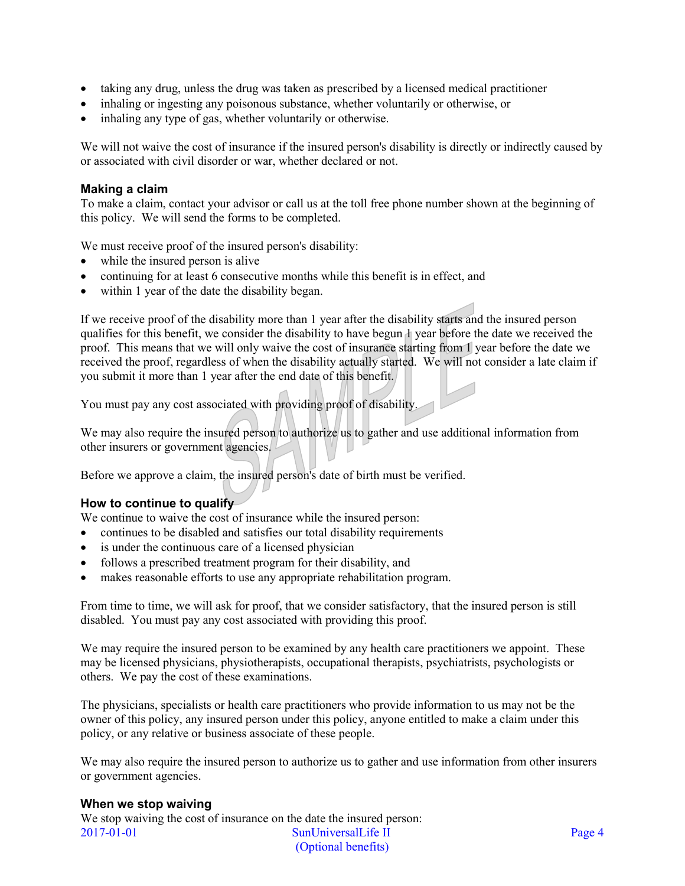- taking any drug, unless the drug was taken as prescribed by a licensed medical practitioner
- inhaling or ingesting any poisonous substance, whether voluntarily or otherwise, or
- inhaling any type of gas, whether voluntarily or otherwise.

We will not waive the cost of insurance if the insured person's disability is directly or indirectly caused by or associated with civil disorder or war, whether declared or not.

#### **Making a claim**

To make a claim, contact your advisor or call us at the toll free phone number shown at the beginning of this policy. We will send the forms to be completed.

We must receive proof of the insured person's disability:

- while the insured person is alive
- continuing for at least 6 consecutive months while this benefit is in effect, and
- within 1 year of the date the disability began.

If we receive proof of the disability more than 1 year after the disability starts and the insured person qualifies for this benefit, we consider the disability to have begun 1 year before the date we received the proof. This means that we will only waive the cost of insurance starting from 1 year before the date we received the proof, regardless of when the disability actually started. We will not consider a late claim if you submit it more than 1 year after the end date of this benefit.

You must pay any cost associated with providing proof of disability.

We may also require the insured person to authorize us to gather and use additional information from other insurers or government agencies.

Before we approve a claim, the insured person's date of birth must be verified.

#### **How to continue to qualify**

We continue to waive the cost of insurance while the insured person:

- continues to be disabled and satisfies our total disability requirements
- is under the continuous care of a licensed physician
- follows a prescribed treatment program for their disability, and
- makes reasonable efforts to use any appropriate rehabilitation program.

From time to time, we will ask for proof, that we consider satisfactory, that the insured person is still disabled. You must pay any cost associated with providing this proof.

We may require the insured person to be examined by any health care practitioners we appoint. These may be licensed physicians, physiotherapists, occupational therapists, psychiatrists, psychologists or others. We pay the cost of these examinations.

The physicians, specialists or health care practitioners who provide information to us may not be the owner of this policy, any insured person under this policy, anyone entitled to make a claim under this policy, or any relative or business associate of these people.

We may also require the insured person to authorize us to gather and use information from other insurers or government agencies.

#### **When we stop waiving**

2017-01-01 SunUniversalLife II Page 4 (Optional benefits) We stop waiving the cost of insurance on the date the insured person: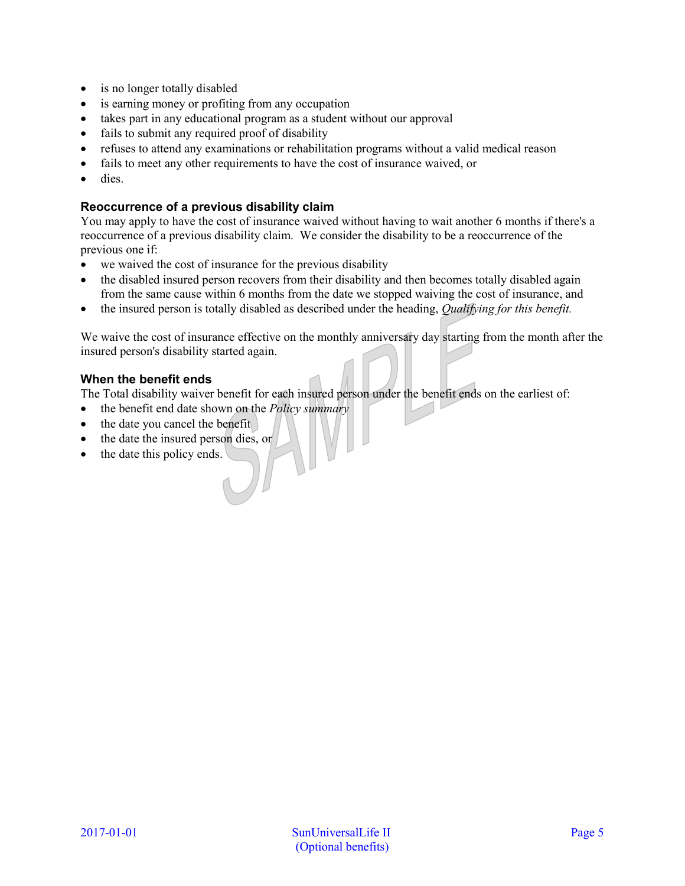- is no longer totally disabled
- is earning money or profiting from any occupation
- takes part in any educational program as a student without our approval
- fails to submit any required proof of disability
- refuses to attend any examinations or rehabilitation programs without a valid medical reason
- fails to meet any other requirements to have the cost of insurance waived, or
- dies.

# **Reoccurrence of a previous disability claim**

You may apply to have the cost of insurance waived without having to wait another 6 months if there's a reoccurrence of a previous disability claim. We consider the disability to be a reoccurrence of the previous one if:

- we waived the cost of insurance for the previous disability
- the disabled insured person recovers from their disability and then becomes totally disabled again from the same cause within 6 months from the date we stopped waiving the cost of insurance, and
- the insured person is totally disabled as described under the heading, *Qualifying for this benefit.*

We waive the cost of insurance effective on the monthly anniversary day starting from the month after the insured person's disability started again.

# **When the benefit ends**

The Total disability waiver benefit for each insured person under the benefit ends on the earliest of:

- the benefit end date shown on the *Policy summary*
- the date you cancel the benefit
- the date the insured person dies, or
- the date this policy ends.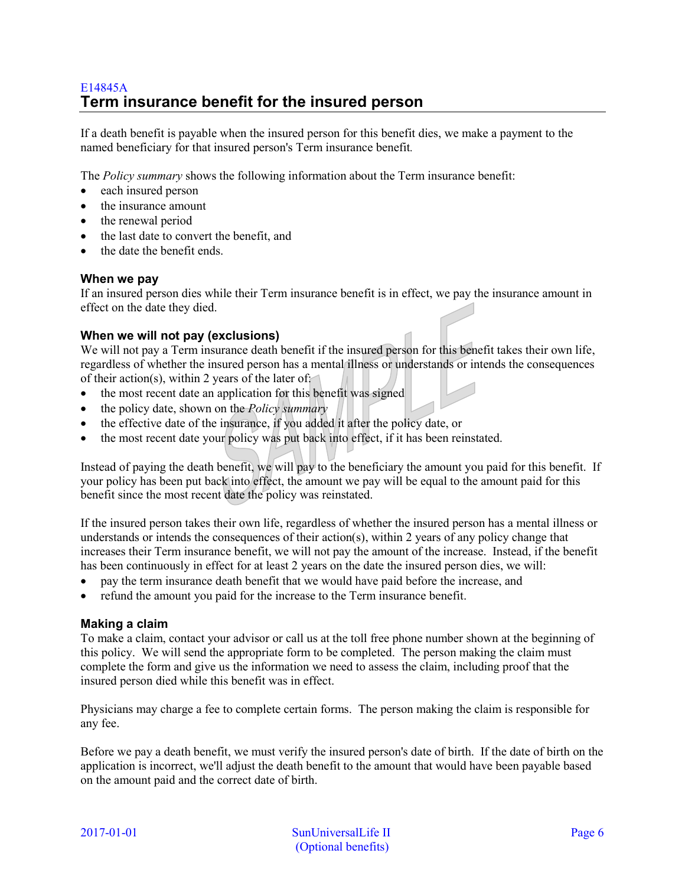# <span id="page-5-0"></span>E14845A **Term insurance benefit for the insured person**

If a death benefit is payable when the insured person for this benefit dies, we make a payment to the named beneficiary for that insured person's Term insurance benefit*.*

The *Policy summary* shows the following information about the Term insurance benefit:

- each insured person
- the insurance amount
- the renewal period
- the last date to convert the benefit, and
- the date the benefit ends.

#### **When we pay**

If an insured person dies while their Term insurance benefit is in effect, we pay the insurance amount in effect on the date they died.

# **When we will not pay (exclusions)**

We will not pay a Term insurance death benefit if the insured person for this benefit takes their own life, regardless of whether the insured person has a mental illness or understands or intends the consequences of their action(s), within 2 years of the later of:

- the most recent date an application for this benefit was signed
- the policy date, shown on the *Policy summary*
- the effective date of the insurance, if you added it after the policy date, or
- the most recent date your policy was put back into effect, if it has been reinstated.

Instead of paying the death benefit, we will pay to the beneficiary the amount you paid for this benefit. If your policy has been put back into effect, the amount we pay will be equal to the amount paid for this benefit since the most recent date the policy was reinstated.

If the insured person takes their own life, regardless of whether the insured person has a mental illness or understands or intends the consequences of their action(s), within 2 years of any policy change that increases their Term insurance benefit, we will not pay the amount of the increase. Instead, if the benefit has been continuously in effect for at least 2 years on the date the insured person dies, we will:

- pay the term insurance death benefit that we would have paid before the increase, and
- refund the amount you paid for the increase to the Term insurance benefit.

#### **Making a claim**

To make a claim, contact your advisor or call us at the toll free phone number shown at the beginning of this policy. We will send the appropriate form to be completed. The person making the claim must complete the form and give us the information we need to assess the claim, including proof that the insured person died while this benefit was in effect.

Physicians may charge a fee to complete certain forms. The person making the claim is responsible for any fee.

Before we pay a death benefit, we must verify the insured person's date of birth. If the date of birth on the application is incorrect, we'll adjust the death benefit to the amount that would have been payable based on the amount paid and the correct date of birth.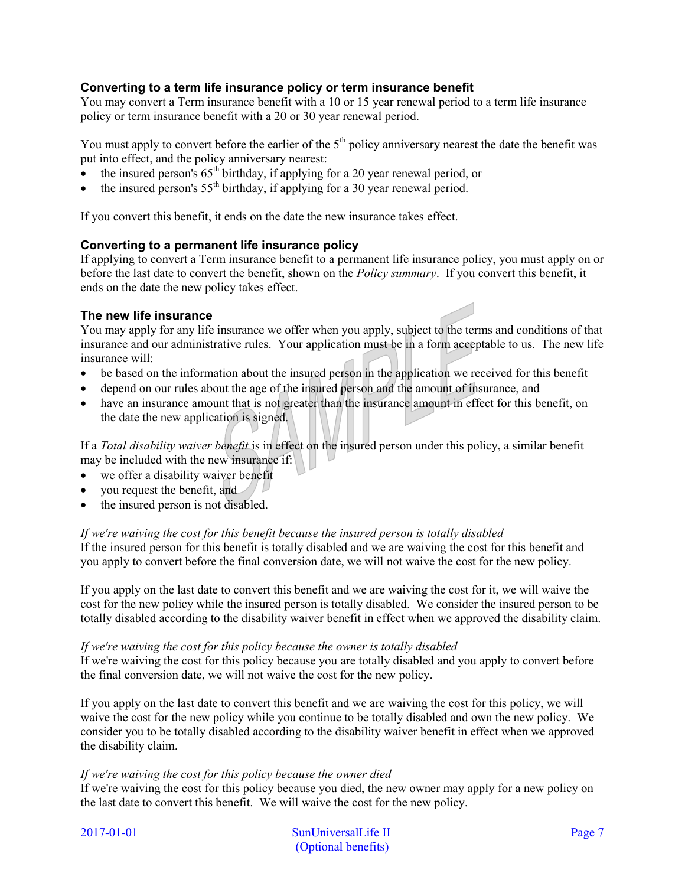# **Converting to a term life insurance policy or term insurance benefit**

You may convert a Term insurance benefit with a 10 or 15 year renewal period to a term life insurance policy or term insurance benefit with a 20 or 30 year renewal period.

You must apply to convert before the earlier of the  $5<sup>th</sup>$  policy anniversary nearest the date the benefit was put into effect, and the policy anniversary nearest:

- the insured person's  $65<sup>th</sup>$  birthday, if applying for a 20 year renewal period, or
- the insured person's  $55<sup>th</sup>$  birthday, if applying for a 30 year renewal period.

If you convert this benefit, it ends on the date the new insurance takes effect.

# **Converting to a permanent life insurance policy**

If applying to convert a Term insurance benefit to a permanent life insurance policy, you must apply on or before the last date to convert the benefit, shown on the *Policy summary*. If you convert this benefit, it ends on the date the new policy takes effect.

#### **The new life insurance**

You may apply for any life insurance we offer when you apply, subject to the terms and conditions of that insurance and our administrative rules. Your application must be in a form acceptable to us. The new life insurance will:

- be based on the information about the insured person in the application we received for this benefit
- depend on our rules about the age of the insured person and the amount of insurance, and
- have an insurance amount that is not greater than the insurance amount in effect for this benefit, on the date the new application is signed.

If a *Total disability waiver benefit* is in effect on the insured person under this policy, a similar benefit may be included with the new insurance if:

- we offer a disability waiver benefit
- you request the benefit, and
- the insured person is not disabled.

#### *If we're waiving the cost for this benefit because the insured person is totally disabled*

If the insured person for this benefit is totally disabled and we are waiving the cost for this benefit and you apply to convert before the final conversion date, we will not waive the cost for the new policy.

If you apply on the last date to convert this benefit and we are waiving the cost for it, we will waive the cost for the new policy while the insured person is totally disabled. We consider the insured person to be totally disabled according to the disability waiver benefit in effect when we approved the disability claim.

#### *If we're waiving the cost for this policy because the owner is totally disabled*

If we're waiving the cost for this policy because you are totally disabled and you apply to convert before the final conversion date, we will not waive the cost for the new policy.

If you apply on the last date to convert this benefit and we are waiving the cost for this policy, we will waive the cost for the new policy while you continue to be totally disabled and own the new policy. We consider you to be totally disabled according to the disability waiver benefit in effect when we approved the disability claim.

#### *If we're waiving the cost for this policy because the owner died*

If we're waiving the cost for this policy because you died, the new owner may apply for a new policy on the last date to convert this benefit. We will waive the cost for the new policy.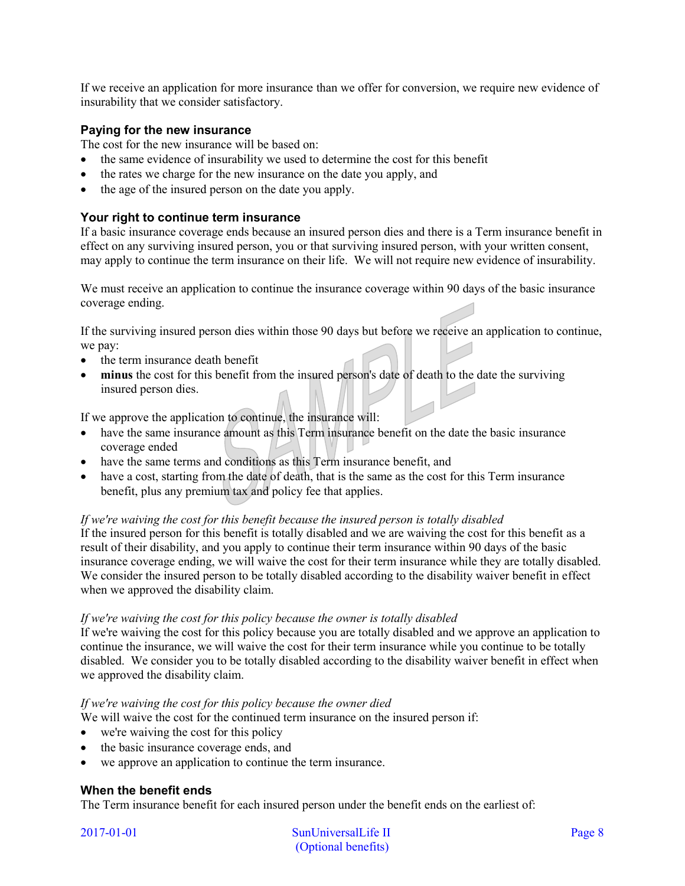If we receive an application for more insurance than we offer for conversion, we require new evidence of insurability that we consider satisfactory.

# **Paying for the new insurance**

The cost for the new insurance will be based on:

- the same evidence of insurability we used to determine the cost for this benefit
- the rates we charge for the new insurance on the date you apply, and
- the age of the insured person on the date you apply.

# **Your right to continue term insurance**

If a basic insurance coverage ends because an insured person dies and there is a Term insurance benefit in effect on any surviving insured person, you or that surviving insured person, with your written consent, may apply to continue the term insurance on their life. We will not require new evidence of insurability.

We must receive an application to continue the insurance coverage within 90 days of the basic insurance coverage ending.

If the surviving insured person dies within those 90 days but before we receive an application to continue, we pay:

- the term insurance death benefit
- **minus** the cost for this benefit from the insured person's date of death to the date the surviving insured person dies.

If we approve the application to continue, the insurance will:

- have the same insurance amount as this Term insurance benefit on the date the basic insurance coverage ended
- have the same terms and conditions as this Term insurance benefit, and
- have a cost, starting from the date of death, that is the same as the cost for this Term insurance benefit, plus any premium tax and policy fee that applies.

#### *If we're waiving the cost for this benefit because the insured person is totally disabled*

If the insured person for this benefit is totally disabled and we are waiving the cost for this benefit as a result of their disability, and you apply to continue their term insurance within 90 days of the basic insurance coverage ending, we will waive the cost for their term insurance while they are totally disabled. We consider the insured person to be totally disabled according to the disability waiver benefit in effect when we approved the disability claim.

#### *If we're waiving the cost for this policy because the owner is totally disabled*

If we're waiving the cost for this policy because you are totally disabled and we approve an application to continue the insurance, we will waive the cost for their term insurance while you continue to be totally disabled. We consider you to be totally disabled according to the disability waiver benefit in effect when we approved the disability claim.

#### *If we're waiving the cost for this policy because the owner died*

We will waive the cost for the continued term insurance on the insured person if:

- we're waiving the cost for this policy
- the basic insurance coverage ends, and
- we approve an application to continue the term insurance.

#### **When the benefit ends**

The Term insurance benefit for each insured person under the benefit ends on the earliest of: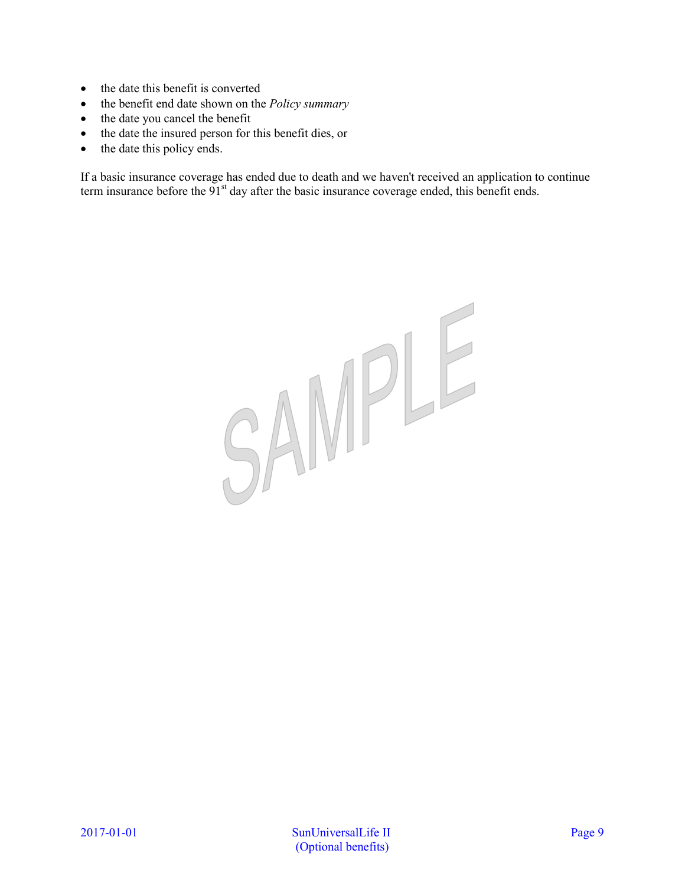- the date this benefit is converted
- the benefit end date shown on the *Policy summary*
- the date you cancel the benefit
- the date the insured person for this benefit dies, or
- the date this policy ends.

If a basic insurance coverage has ended due to death and we haven't received an application to continue term insurance before the 91<sup>st</sup> day after the basic insurance coverage ended, this benefit ends.

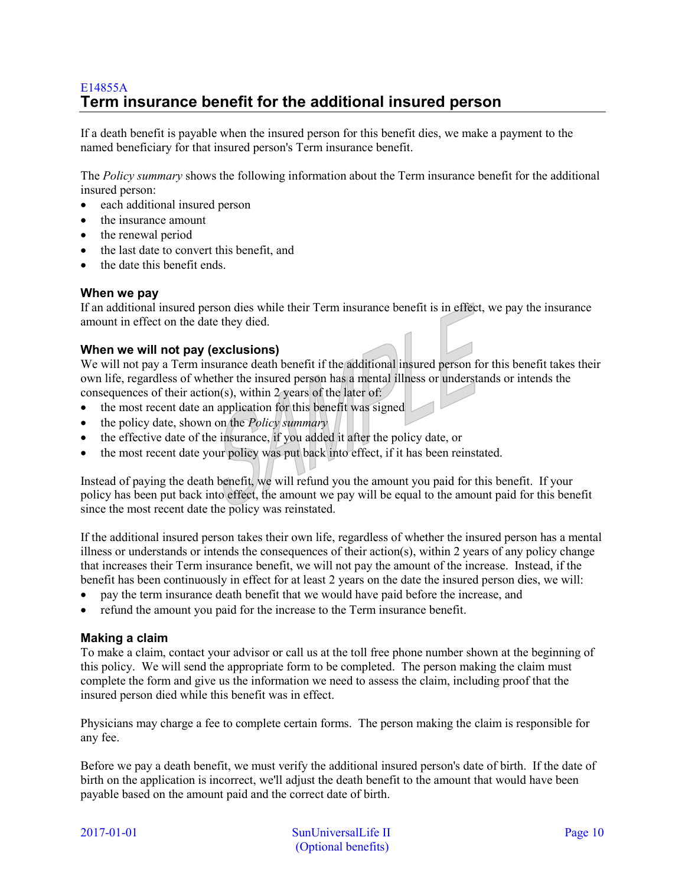# <span id="page-9-0"></span>E14855A **Term insurance benefit for the additional insured person**

If a death benefit is payable when the insured person for this benefit dies, we make a payment to the named beneficiary for that insured person's Term insurance benefit.

The *Policy summary* shows the following information about the Term insurance benefit for the additional insured person:

- each additional insured person
- the insurance amount
- the renewal period
- the last date to convert this benefit, and
- the date this benefit ends.

#### **When we pay**

If an additional insured person dies while their Term insurance benefit is in effect, we pay the insurance amount in effect on the date they died.

# **When we will not pay (exclusions)**

We will not pay a Term insurance death benefit if the additional insured person for this benefit takes their own life, regardless of whether the insured person has a mental illness or understands or intends the consequences of their action(s), within 2 years of the later of:

- the most recent date an application for this benefit was signed
- the policy date, shown on the *Policy summary*
- the effective date of the insurance, if you added it after the policy date, or
- the most recent date your policy was put back into effect, if it has been reinstated.

Instead of paying the death benefit, we will refund you the amount you paid for this benefit. If your policy has been put back into effect, the amount we pay will be equal to the amount paid for this benefit since the most recent date the policy was reinstated.

If the additional insured person takes their own life, regardless of whether the insured person has a mental illness or understands or intends the consequences of their action(s), within 2 years of any policy change that increases their Term insurance benefit, we will not pay the amount of the increase. Instead, if the benefit has been continuously in effect for at least 2 years on the date the insured person dies, we will:

- pay the term insurance death benefit that we would have paid before the increase, and
- refund the amount you paid for the increase to the Term insurance benefit.

#### **Making a claim**

To make a claim, contact your advisor or call us at the toll free phone number shown at the beginning of this policy. We will send the appropriate form to be completed. The person making the claim must complete the form and give us the information we need to assess the claim, including proof that the insured person died while this benefit was in effect.

Physicians may charge a fee to complete certain forms. The person making the claim is responsible for any fee.

Before we pay a death benefit, we must verify the additional insured person's date of birth. If the date of birth on the application is incorrect, we'll adjust the death benefit to the amount that would have been payable based on the amount paid and the correct date of birth.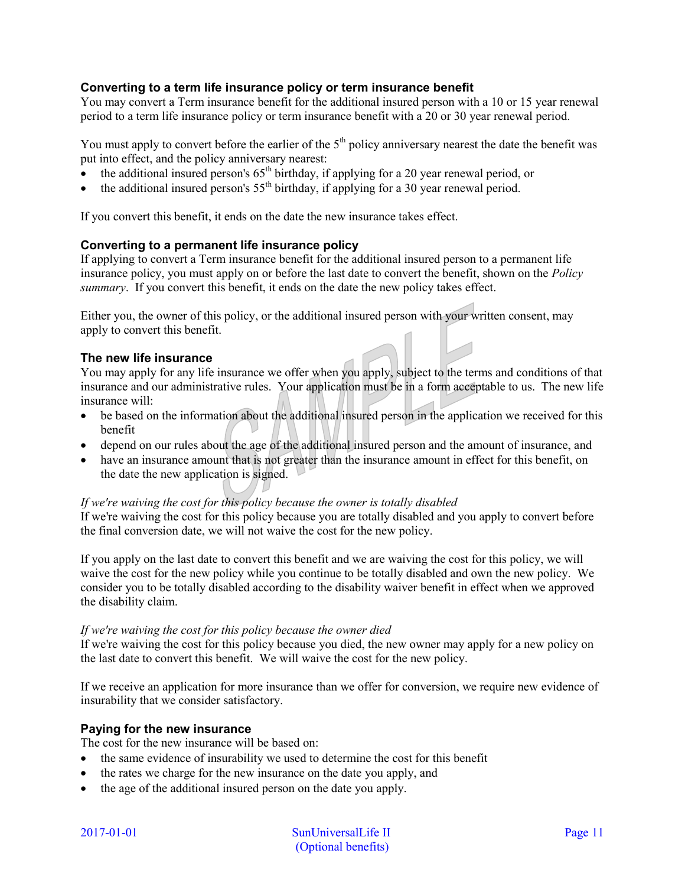# **Converting to a term life insurance policy or term insurance benefit**

You may convert a Term insurance benefit for the additional insured person with a 10 or 15 year renewal period to a term life insurance policy or term insurance benefit with a 20 or 30 year renewal period.

You must apply to convert before the earlier of the  $5<sup>th</sup>$  policy anniversary nearest the date the benefit was put into effect, and the policy anniversary nearest:

- the additional insured person's  $65<sup>th</sup>$  birthday, if applying for a 20 year renewal period, or
- the additional insured person's  $55<sup>th</sup>$  birthday, if applying for a 30 year renewal period.

If you convert this benefit, it ends on the date the new insurance takes effect.

#### **Converting to a permanent life insurance policy**

If applying to convert a Term insurance benefit for the additional insured person to a permanent life insurance policy, you must apply on or before the last date to convert the benefit, shown on the *Policy summary*. If you convert this benefit, it ends on the date the new policy takes effect.

Either you, the owner of this policy, or the additional insured person with your written consent, may apply to convert this benefit.

#### **The new life insurance**

You may apply for any life insurance we offer when you apply, subject to the terms and conditions of that insurance and our administrative rules. Your application must be in a form acceptable to us. The new life insurance will:

- be based on the information about the additional insured person in the application we received for this benefit
- depend on our rules about the age of the additional insured person and the amount of insurance, and
- have an insurance amount that is not greater than the insurance amount in effect for this benefit, on the date the new application is signed.

#### *If we're waiving the cost for this policy because the owner is totally disabled*

If we're waiving the cost for this policy because you are totally disabled and you apply to convert before the final conversion date, we will not waive the cost for the new policy.

If you apply on the last date to convert this benefit and we are waiving the cost for this policy, we will waive the cost for the new policy while you continue to be totally disabled and own the new policy. We consider you to be totally disabled according to the disability waiver benefit in effect when we approved the disability claim.

#### *If we're waiving the cost for this policy because the owner died*

If we're waiving the cost for this policy because you died, the new owner may apply for a new policy on the last date to convert this benefit. We will waive the cost for the new policy.

If we receive an application for more insurance than we offer for conversion, we require new evidence of insurability that we consider satisfactory.

#### **Paying for the new insurance**

The cost for the new insurance will be based on:

- the same evidence of insurability we used to determine the cost for this benefit
- the rates we charge for the new insurance on the date you apply, and
- the age of the additional insured person on the date you apply.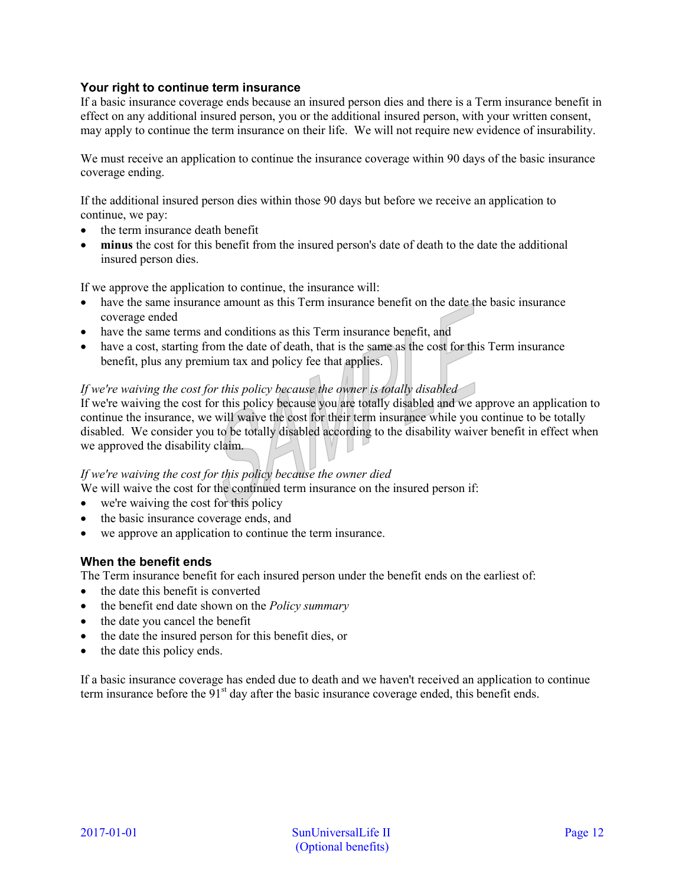# **Your right to continue term insurance**

If a basic insurance coverage ends because an insured person dies and there is a Term insurance benefit in effect on any additional insured person, you or the additional insured person, with your written consent, may apply to continue the term insurance on their life. We will not require new evidence of insurability.

We must receive an application to continue the insurance coverage within 90 days of the basic insurance coverage ending.

If the additional insured person dies within those 90 days but before we receive an application to continue, we pay:

- the term insurance death benefit
- **minus** the cost for this benefit from the insured person's date of death to the date the additional insured person dies.

If we approve the application to continue, the insurance will:

- have the same insurance amount as this Term insurance benefit on the date the basic insurance coverage ended
- have the same terms and conditions as this Term insurance benefit, and
- have a cost, starting from the date of death, that is the same as the cost for this Term insurance benefit, plus any premium tax and policy fee that applies.

# *If we're waiving the cost for this policy because the owner is totally disabled*

If we're waiving the cost for this policy because you are totally disabled and we approve an application to continue the insurance, we will waive the cost for their term insurance while you continue to be totally disabled. We consider you to be totally disabled according to the disability waiver benefit in effect when we approved the disability claim.

#### *If we're waiving the cost for this policy because the owner died*

We will waive the cost for the continued term insurance on the insured person if:

- we're waiving the cost for this policy
- the basic insurance coverage ends, and
- we approve an application to continue the term insurance.

#### **When the benefit ends**

The Term insurance benefit for each insured person under the benefit ends on the earliest of:

- the date this benefit is converted
- the benefit end date shown on the *Policy summary*
- the date you cancel the benefit
- the date the insured person for this benefit dies, or
- the date this policy ends.

If a basic insurance coverage has ended due to death and we haven't received an application to continue term insurance before the  $91<sup>st</sup>$  day after the basic insurance coverage ended, this benefit ends.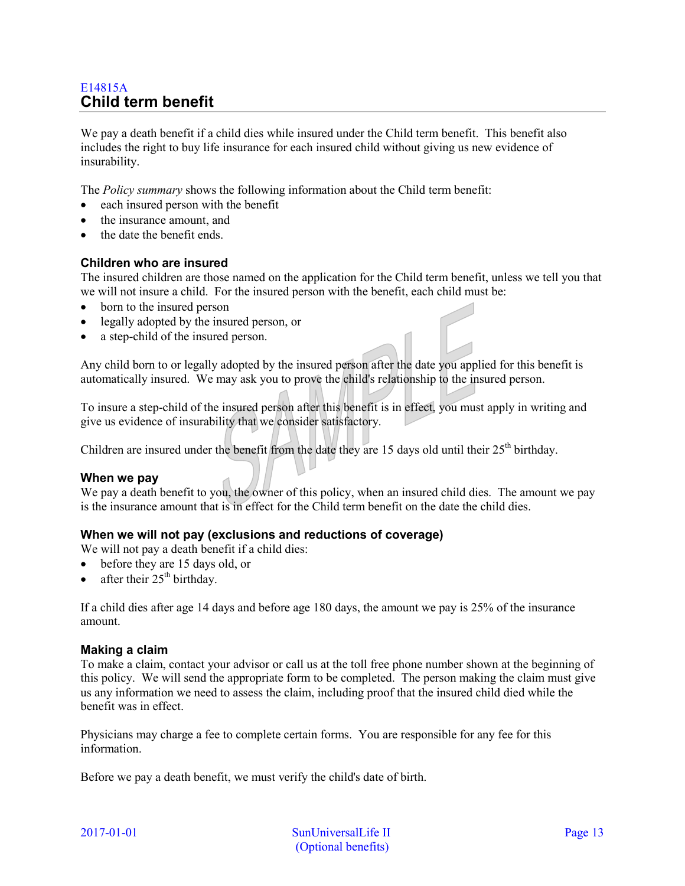# <span id="page-12-0"></span>E14815A **Child term benefit**

We pay a death benefit if a child dies while insured under the Child term benefit. This benefit also includes the right to buy life insurance for each insured child without giving us new evidence of insurability.

The *Policy summary* shows the following information about the Child term benefit:

- each insured person with the benefit
- the insurance amount, and
- the date the benefit ends.

#### **Children who are insured**

The insured children are those named on the application for the Child term benefit, unless we tell you that we will not insure a child. For the insured person with the benefit, each child must be:

- born to the insured person
- legally adopted by the insured person, or
- a step-child of the insured person.

Any child born to or legally adopted by the insured person after the date you applied for this benefit is automatically insured. We may ask you to prove the child's relationship to the insured person.

To insure a step-child of the insured person after this benefit is in effect, you must apply in writing and give us evidence of insurability that we consider satisfactory.

Children are insured under the benefit from the date they are 15 days old until their  $25<sup>th</sup>$  birthday.

#### **When we pay**

We pay a death benefit to you, the owner of this policy, when an insured child dies. The amount we pay is the insurance amount that is in effect for the Child term benefit on the date the child dies.

#### **When we will not pay (exclusions and reductions of coverage)**

We will not pay a death benefit if a child dies:

- before they are 15 days old, or
- after their  $25<sup>th</sup>$  birthday.

If a child dies after age 14 days and before age 180 days, the amount we pay is 25% of the insurance amount.

#### **Making a claim**

To make a claim, contact your advisor or call us at the toll free phone number shown at the beginning of this policy. We will send the appropriate form to be completed. The person making the claim must give us any information we need to assess the claim, including proof that the insured child died while the benefit was in effect.

Physicians may charge a fee to complete certain forms. You are responsible for any fee for this information.

Before we pay a death benefit, we must verify the child's date of birth.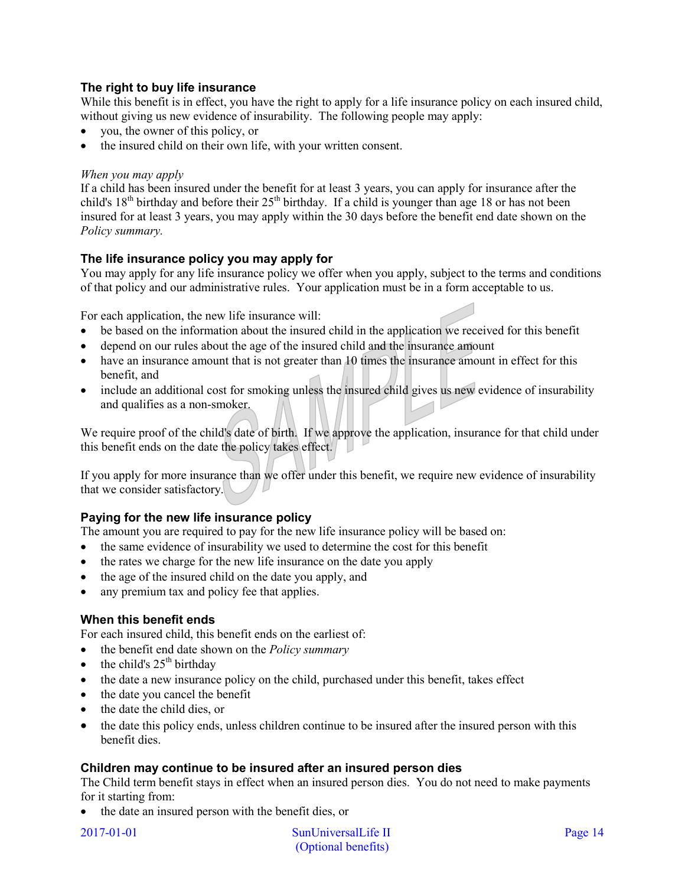# **The right to buy life insurance**

While this benefit is in effect, you have the right to apply for a life insurance policy on each insured child, without giving us new evidence of insurability. The following people may apply:

- you, the owner of this policy, or
- the insured child on their own life, with your written consent.

#### *When you may apply*

If a child has been insured under the benefit for at least 3 years, you can apply for insurance after the child's  $18<sup>th</sup>$  birthday and before their  $25<sup>th</sup>$  birthday. If a child is younger than age 18 or has not been insured for at least 3 years, you may apply within the 30 days before the benefit end date shown on the *Policy summary.* 

# **The life insurance policy you may apply for**

You may apply for any life insurance policy we offer when you apply, subject to the terms and conditions of that policy and our administrative rules. Your application must be in a form acceptable to us.

For each application, the new life insurance will:

- be based on the information about the insured child in the application we received for this benefit
- depend on our rules about the age of the insured child and the insurance amount
- have an insurance amount that is not greater than 10 times the insurance amount in effect for this benefit, and
- include an additional cost for smoking unless the insured child gives us new evidence of insurability and qualifies as a non-smoker.

We require proof of the child's date of birth. If we approve the application, insurance for that child under this benefit ends on the date the policy takes effect.

If you apply for more insurance than we offer under this benefit, we require new evidence of insurability that we consider satisfactory.

# **Paying for the new life insurance policy**

The amount you are required to pay for the new life insurance policy will be based on:

- the same evidence of insurability we used to determine the cost for this benefit
- the rates we charge for the new life insurance on the date you apply
- the age of the insured child on the date you apply, and
- any premium tax and policy fee that applies.

#### **When this benefit ends**

For each insured child, this benefit ends on the earliest of:

- the benefit end date shown on the *Policy summary*
- the child's  $25<sup>th</sup>$  birthday
- the date a new insurance policy on the child, purchased under this benefit, takes effect
- the date you cancel the benefit
- the date the child dies, or
- the date this policy ends, unless children continue to be insured after the insured person with this benefit dies.

#### **Children may continue to be insured after an insured person dies**

The Child term benefit stays in effect when an insured person dies. You do not need to make payments for it starting from:

• the date an insured person with the benefit dies, or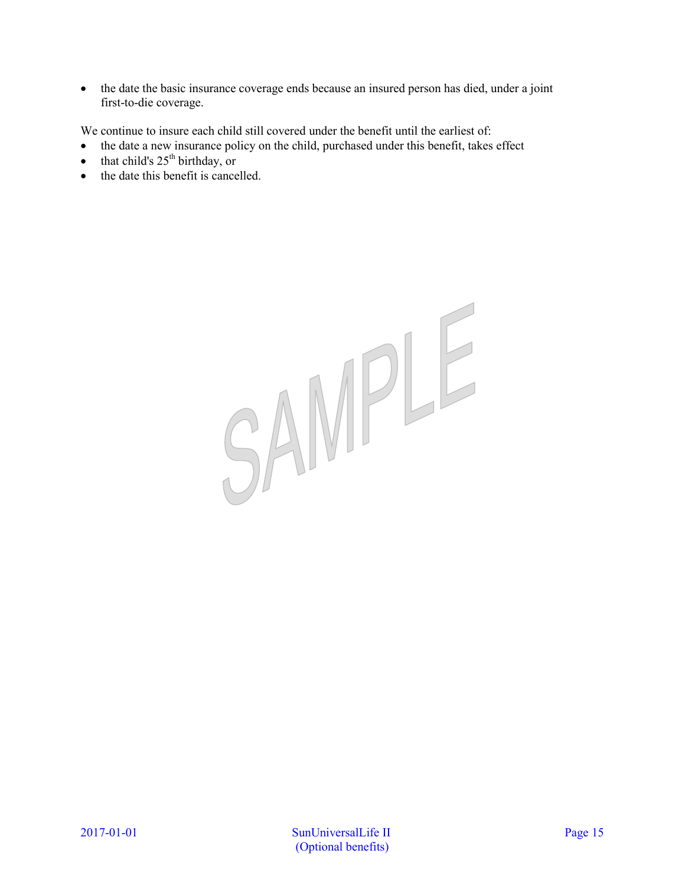• the date the basic insurance coverage ends because an insured person has died, under a joint first-to-die coverage.

We continue to insure each child still covered under the benefit until the earliest of:

- the date a new insurance policy on the child, purchased under this benefit, takes effect
- that child's  $25<sup>th</sup>$  birthday, or
- the date this benefit is cancelled.

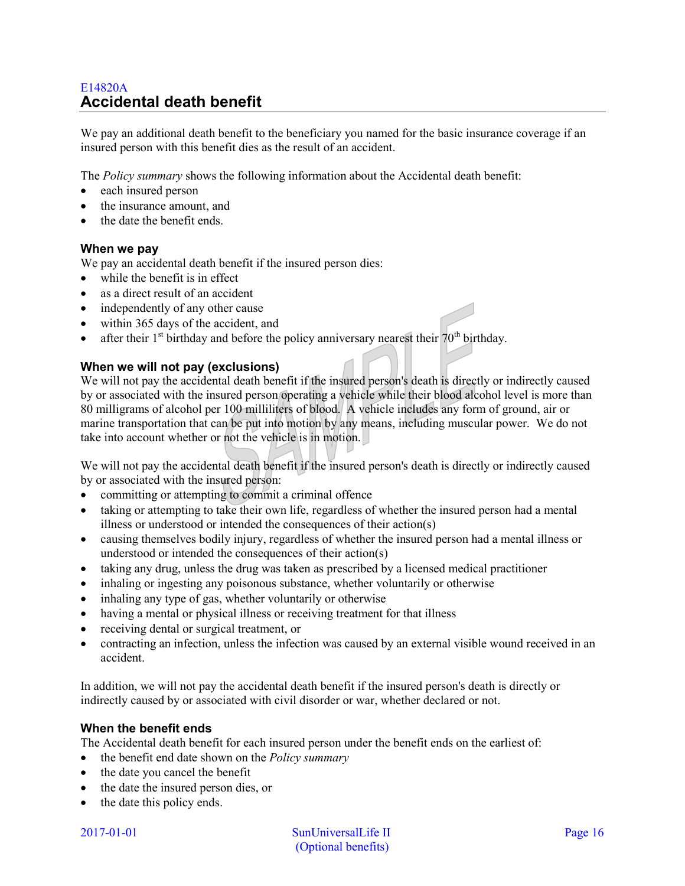# <span id="page-15-0"></span>E14820A **Accidental death benefit**

We pay an additional death benefit to the beneficiary you named for the basic insurance coverage if an insured person with this benefit dies as the result of an accident.

The *Policy summary* shows the following information about the Accidental death benefit:

- each insured person
- the insurance amount, and
- the date the benefit ends.

#### **When we pay**

We pay an accidental death benefit if the insured person dies:

- while the benefit is in effect
- as a direct result of an accident
- independently of any other cause
- within 365 days of the accident, and
- after their  $1<sup>st</sup>$  birthday and before the policy anniversary nearest their  $70<sup>th</sup>$  birthday.

#### **When we will not pay (exclusions)**

We will not pay the accidental death benefit if the insured person's death is directly or indirectly caused by or associated with the insured person operating a vehicle while their blood alcohol level is more than 80 milligrams of alcohol per 100 milliliters of blood. A vehicle includes any form of ground, air or marine transportation that can be put into motion by any means, including muscular power. We do not take into account whether or not the vehicle is in motion.

We will not pay the accidental death benefit if the insured person's death is directly or indirectly caused by or associated with the insured person:

- committing or attempting to commit a criminal offence
- taking or attempting to take their own life, regardless of whether the insured person had a mental illness or understood or intended the consequences of their action(s)
- causing themselves bodily injury, regardless of whether the insured person had a mental illness or understood or intended the consequences of their action(s)
- taking any drug, unless the drug was taken as prescribed by a licensed medical practitioner
- inhaling or ingesting any poisonous substance, whether voluntarily or otherwise
- inhaling any type of gas, whether voluntarily or otherwise
- having a mental or physical illness or receiving treatment for that illness
- receiving dental or surgical treatment, or
- contracting an infection, unless the infection was caused by an external visible wound received in an accident.

In addition, we will not pay the accidental death benefit if the insured person's death is directly or indirectly caused by or associated with civil disorder or war, whether declared or not.

#### **When the benefit ends**

The Accidental death benefit for each insured person under the benefit ends on the earliest of:

- the benefit end date shown on the *Policy summary*
- the date you cancel the benefit
- the date the insured person dies, or
- the date this policy ends.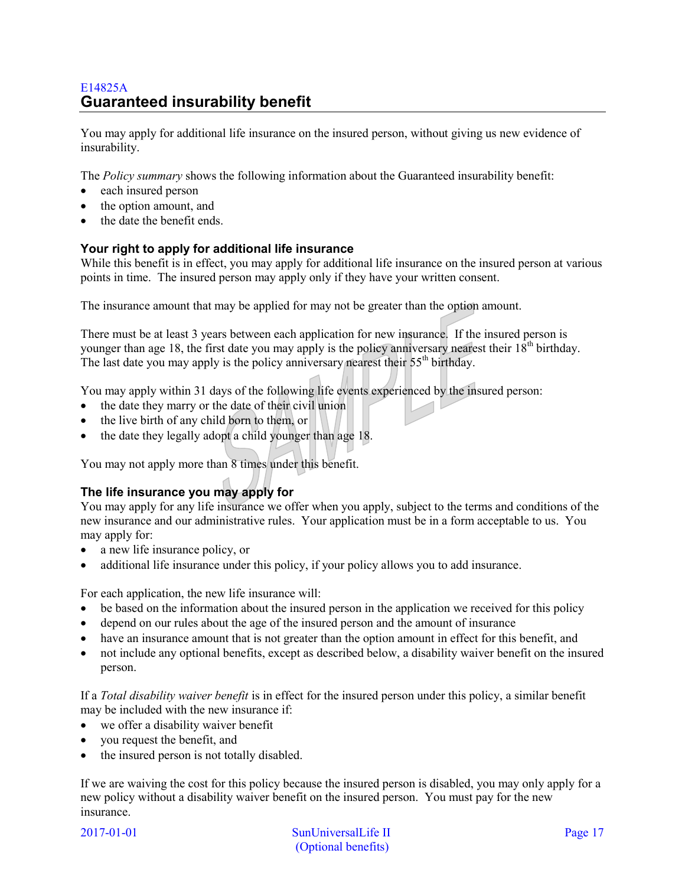# <span id="page-16-0"></span>E14825A **Guaranteed insurability benefit**

You may apply for additional life insurance on the insured person, without giving us new evidence of insurability.

The *Policy summary* shows the following information about the Guaranteed insurability benefit:

- each insured person
- the option amount, and
- the date the benefit ends.

# **Your right to apply for additional life insurance**

While this benefit is in effect, you may apply for additional life insurance on the insured person at various points in time. The insured person may apply only if they have your written consent.

The insurance amount that may be applied for may not be greater than the option amount.

There must be at least 3 years between each application for new insurance. If the insured person is younger than age 18, the first date you may apply is the policy anniversary nearest their  $18<sup>th</sup>$  birthday. The last date you may apply is the policy anniversary nearest their  $55<sup>th</sup>$  birthday.

You may apply within 31 days of the following life events experienced by the insured person:

- the date they marry or the date of their civil union
- the live birth of any child born to them, or
- the date they legally adopt a child younger than age 18.

You may not apply more than 8 times under this benefit.

# **The life insurance you may apply for**

You may apply for any life insurance we offer when you apply, subject to the terms and conditions of the new insurance and our administrative rules. Your application must be in a form acceptable to us. You may apply for:

- a new life insurance policy, or
- additional life insurance under this policy, if your policy allows you to add insurance.

For each application, the new life insurance will:

- be based on the information about the insured person in the application we received for this policy
- depend on our rules about the age of the insured person and the amount of insurance
- have an insurance amount that is not greater than the option amount in effect for this benefit, and
- not include any optional benefits, except as described below, a disability waiver benefit on the insured person.

If a *Total disability waiver benefit* is in effect for the insured person under this policy, a similar benefit may be included with the new insurance if:

- we offer a disability waiver benefit
- you request the benefit, and
- the insured person is not totally disabled.

If we are waiving the cost for this policy because the insured person is disabled, you may only apply for a new policy without a disability waiver benefit on the insured person. You must pay for the new insurance.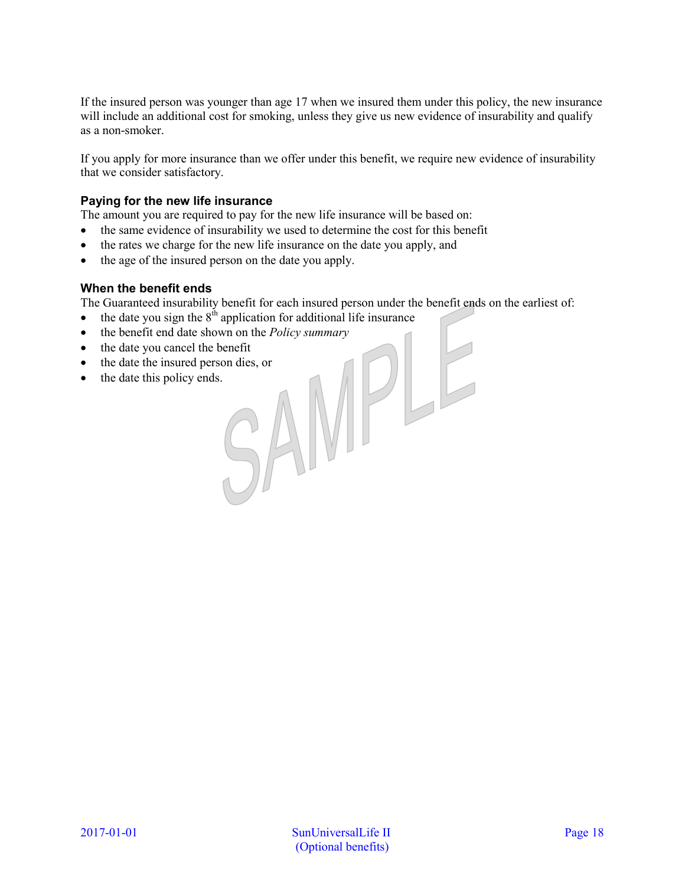If the insured person was younger than age 17 when we insured them under this policy, the new insurance will include an additional cost for smoking, unless they give us new evidence of insurability and qualify as a non-smoker.

If you apply for more insurance than we offer under this benefit, we require new evidence of insurability that we consider satisfactory.

# **Paying for the new life insurance**

The amount you are required to pay for the new life insurance will be based on:

- the same evidence of insurability we used to determine the cost for this benefit
- the rates we charge for the new life insurance on the date you apply, and
- the age of the insured person on the date you apply.

#### **When the benefit ends**

The Guaranteed insurability benefit for each insured person under the benefit ends on the earliest of:

- the date you sign the  $8<sup>th</sup>$  application for additional life insurance
- the benefit end date shown on the *Policy summary*<br>• the date the insured person dies, or<br>• the date this policy ends.
- the date you cancel the benefit
- the date the insured person dies, or
- the date this policy ends.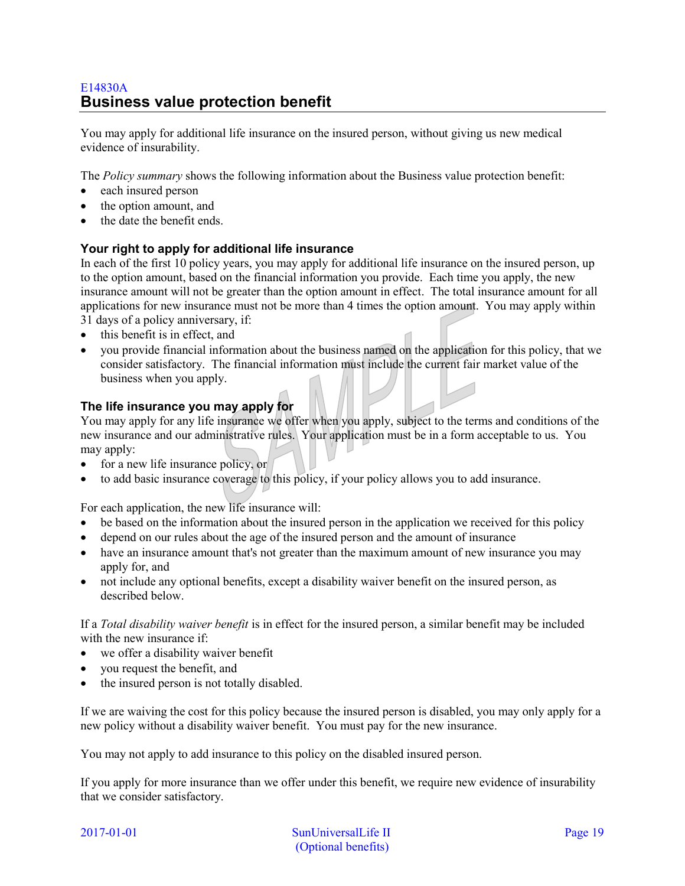# <span id="page-18-0"></span>E14830A **Business value protection benefit**

You may apply for additional life insurance on the insured person, without giving us new medical evidence of insurability.

The *Policy summary* shows the following information about the Business value protection benefit:

- each insured person
- the option amount, and
- the date the benefit ends.

# **Your right to apply for additional life insurance**

In each of the first 10 policy years, you may apply for additional life insurance on the insured person, up to the option amount, based on the financial information you provide. Each time you apply, the new insurance amount will not be greater than the option amount in effect. The total insurance amount for all applications for new insurance must not be more than 4 times the option amount. You may apply within 31 days of a policy anniversary, if:

- this benefit is in effect, and
- you provide financial information about the business named on the application for this policy, that we consider satisfactory. The financial information must include the current fair market value of the business when you apply.

# **The life insurance you may apply for**

You may apply for any life insurance we offer when you apply, subject to the terms and conditions of the new insurance and our administrative rules. Your application must be in a form acceptable to us. You may apply:

- for a new life insurance policy, or
- to add basic insurance coverage to this policy, if your policy allows you to add insurance.

For each application, the new life insurance will:

- be based on the information about the insured person in the application we received for this policy
- depend on our rules about the age of the insured person and the amount of insurance
- have an insurance amount that's not greater than the maximum amount of new insurance you may apply for, and
- not include any optional benefits, except a disability waiver benefit on the insured person, as described below.

If a *Total disability waiver benefit* is in effect for the insured person, a similar benefit may be included with the new insurance if:

- we offer a disability waiver benefit
- you request the benefit, and
- the insured person is not totally disabled.

If we are waiving the cost for this policy because the insured person is disabled, you may only apply for a new policy without a disability waiver benefit. You must pay for the new insurance.

You may not apply to add insurance to this policy on the disabled insured person.

If you apply for more insurance than we offer under this benefit, we require new evidence of insurability that we consider satisfactory.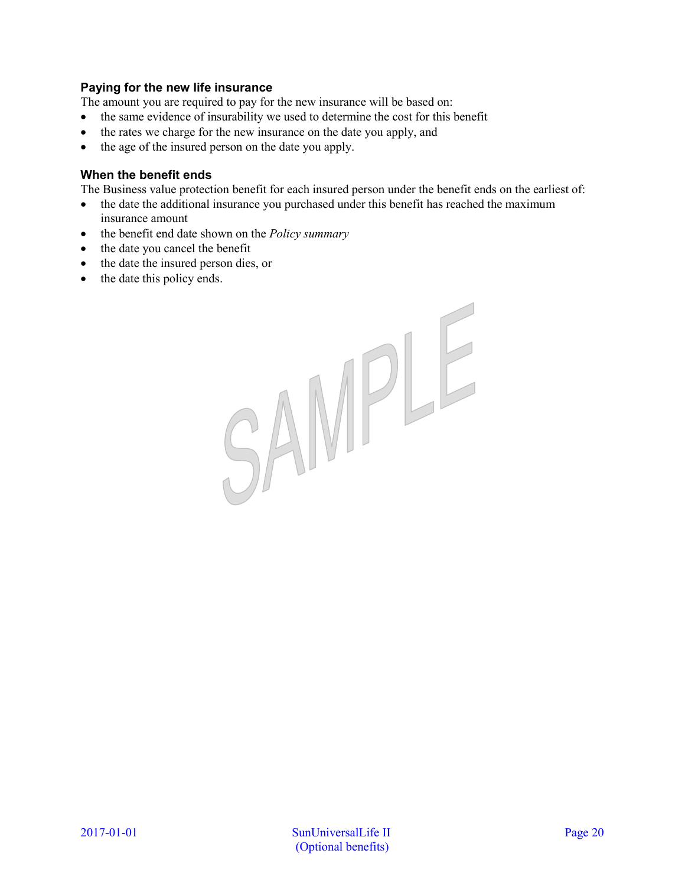# **Paying for the new life insurance**

The amount you are required to pay for the new insurance will be based on:

- the same evidence of insurability we used to determine the cost for this benefit
- the rates we charge for the new insurance on the date you apply, and
- the age of the insured person on the date you apply.

# **When the benefit ends**

The Business value protection benefit for each insured person under the benefit ends on the earliest of:

- the date the additional insurance you purchased under this benefit has reached the maximum insurance amount
- the benefit end date shown on the *Policy summary*
- the date you cancel the benefit
- the date the insured person dies, or
- the date this policy ends.

SAMPLE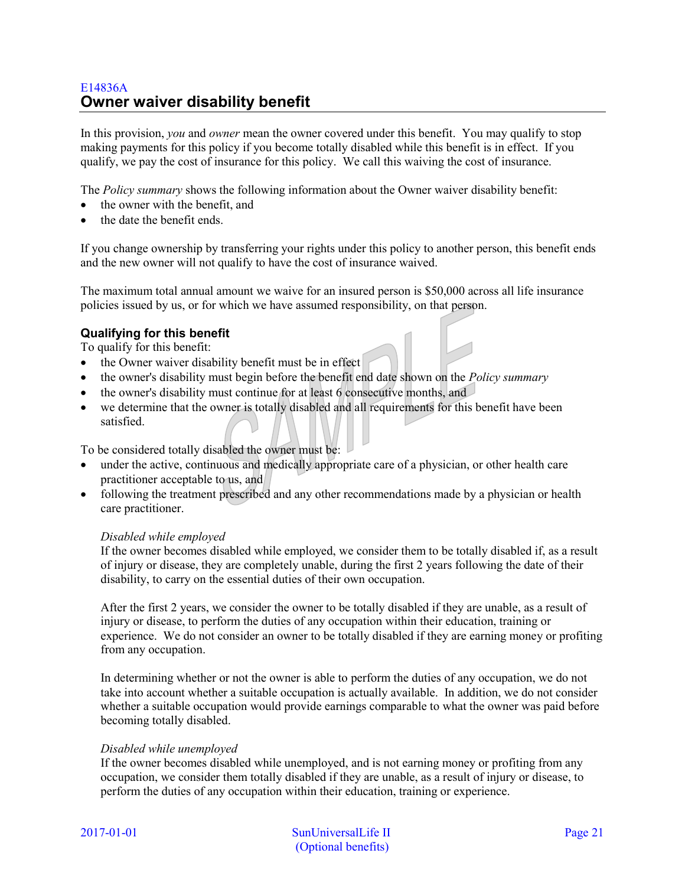# <span id="page-20-0"></span>E14836A **Owner waiver disability benefit**

In this provision, *you* and *owner* mean the owner covered under this benefit. You may qualify to stop making payments for this policy if you become totally disabled while this benefit is in effect. If you qualify, we pay the cost of insurance for this policy. We call this waiving the cost of insurance.

The *Policy summary* shows the following information about the Owner waiver disability benefit:

- the owner with the benefit, and
- the date the benefit ends.

If you change ownership by transferring your rights under this policy to another person, this benefit ends and the new owner will not qualify to have the cost of insurance waived.

The maximum total annual amount we waive for an insured person is \$50,000 across all life insurance policies issued by us, or for which we have assumed responsibility, on that person.

# **Qualifying for this benefit**

To qualify for this benefit:

- the Owner waiver disability benefit must be in effect
- the owner's disability must begin before the benefit end date shown on the *Policy summary*
- the owner's disability must continue for at least 6 consecutive months, and
- we determine that the owner is totally disabled and all requirements for this benefit have been satisfied.

To be considered totally disabled the owner must be:

- under the active, continuous and medically appropriate care of a physician, or other health care practitioner acceptable to us, and
- following the treatment prescribed and any other recommendations made by a physician or health care practitioner.

#### *Disabled while employed*

If the owner becomes disabled while employed, we consider them to be totally disabled if, as a result of injury or disease, they are completely unable, during the first 2 years following the date of their disability, to carry on the essential duties of their own occupation.

After the first 2 years, we consider the owner to be totally disabled if they are unable, as a result of injury or disease, to perform the duties of any occupation within their education, training or experience. We do not consider an owner to be totally disabled if they are earning money or profiting from any occupation.

In determining whether or not the owner is able to perform the duties of any occupation, we do not take into account whether a suitable occupation is actually available. In addition, we do not consider whether a suitable occupation would provide earnings comparable to what the owner was paid before becoming totally disabled.

#### *Disabled while unemployed*

If the owner becomes disabled while unemployed, and is not earning money or profiting from any occupation, we consider them totally disabled if they are unable, as a result of injury or disease, to perform the duties of any occupation within their education, training or experience.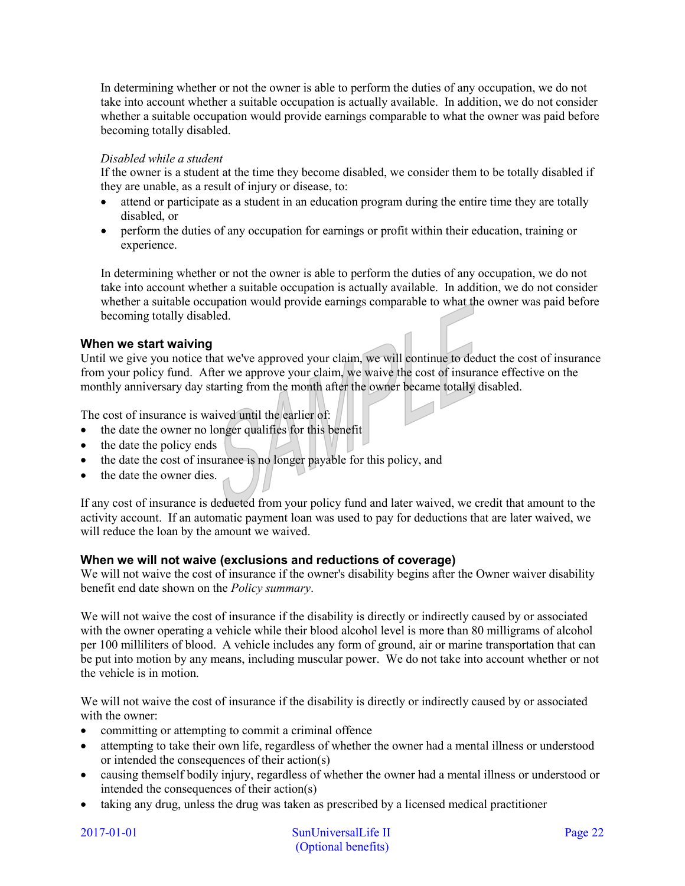In determining whether or not the owner is able to perform the duties of any occupation, we do not take into account whether a suitable occupation is actually available. In addition, we do not consider whether a suitable occupation would provide earnings comparable to what the owner was paid before becoming totally disabled.

### *Disabled while a student*

If the owner is a student at the time they become disabled, we consider them to be totally disabled if they are unable, as a result of injury or disease, to:

- attend or participate as a student in an education program during the entire time they are totally disabled, or
- perform the duties of any occupation for earnings or profit within their education, training or experience.

In determining whether or not the owner is able to perform the duties of any occupation, we do not take into account whether a suitable occupation is actually available. In addition, we do not consider whether a suitable occupation would provide earnings comparable to what the owner was paid before becoming totally disabled.

# **When we start waiving**

Until we give you notice that we've approved your claim, we will continue to deduct the cost of insurance from your policy fund. After we approve your claim, we waive the cost of insurance effective on the monthly anniversary day starting from the month after the owner became totally disabled.

The cost of insurance is waived until the earlier of:

- the date the owner no longer qualifies for this benefit
- the date the policy ends
- the date the cost of insurance is no longer payable for this policy, and
- the date the owner dies.

If any cost of insurance is deducted from your policy fund and later waived, we credit that amount to the activity account. If an automatic payment loan was used to pay for deductions that are later waived, we will reduce the loan by the amount we waived.

#### **When we will not waive (exclusions and reductions of coverage)**

We will not waive the cost of insurance if the owner's disability begins after the Owner waiver disability benefit end date shown on the *Policy summary*.

We will not waive the cost of insurance if the disability is directly or indirectly caused by or associated with the owner operating a vehicle while their blood alcohol level is more than 80 milligrams of alcohol per 100 milliliters of blood. A vehicle includes any form of ground, air or marine transportation that can be put into motion by any means, including muscular power. We do not take into account whether or not the vehicle is in motion.

We will not waive the cost of insurance if the disability is directly or indirectly caused by or associated with the owner:

- committing or attempting to commit a criminal offence
- attempting to take their own life, regardless of whether the owner had a mental illness or understood or intended the consequences of their action(s)
- causing themself bodily injury, regardless of whether the owner had a mental illness or understood or intended the consequences of their action(s)
- taking any drug, unless the drug was taken as prescribed by a licensed medical practitioner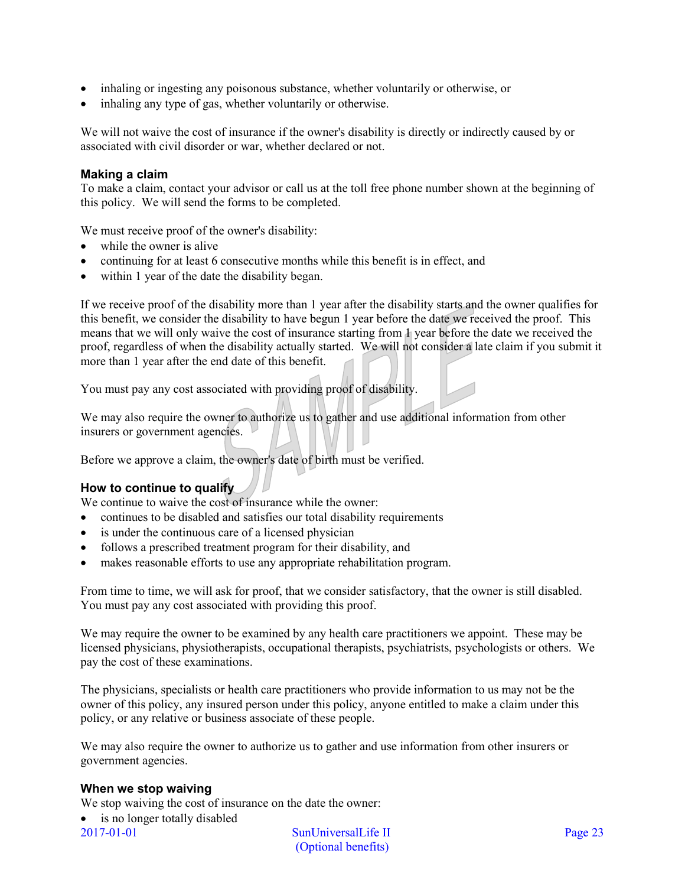- inhaling or ingesting any poisonous substance, whether voluntarily or otherwise, or
- inhaling any type of gas, whether voluntarily or otherwise.

We will not waive the cost of insurance if the owner's disability is directly or indirectly caused by or associated with civil disorder or war, whether declared or not.

# **Making a claim**

To make a claim, contact your advisor or call us at the toll free phone number shown at the beginning of this policy. We will send the forms to be completed.

We must receive proof of the owner's disability:

- while the owner is alive
- continuing for at least 6 consecutive months while this benefit is in effect, and
- within 1 year of the date the disability began.

If we receive proof of the disability more than 1 year after the disability starts and the owner qualifies for this benefit, we consider the disability to have begun 1 year before the date we received the proof. This means that we will only waive the cost of insurance starting from 1 year before the date we received the proof, regardless of when the disability actually started. We will not consider a late claim if you submit it more than 1 year after the end date of this benefit.

You must pay any cost associated with providing proof of disability.

We may also require the owner to authorize us to gather and use additional information from other insurers or government agencies.

Before we approve a claim, the owner's date of birth must be verified.

# **How to continue to qualify**

We continue to waive the cost of insurance while the owner:

- continues to be disabled and satisfies our total disability requirements
- is under the continuous care of a licensed physician
- follows a prescribed treatment program for their disability, and
- makes reasonable efforts to use any appropriate rehabilitation program.

From time to time, we will ask for proof, that we consider satisfactory, that the owner is still disabled. You must pay any cost associated with providing this proof.

We may require the owner to be examined by any health care practitioners we appoint. These may be licensed physicians, physiotherapists, occupational therapists, psychiatrists, psychologists or others. We pay the cost of these examinations.

The physicians, specialists or health care practitioners who provide information to us may not be the owner of this policy, any insured person under this policy, anyone entitled to make a claim under this policy, or any relative or business associate of these people.

We may also require the owner to authorize us to gather and use information from other insurers or government agencies.

#### **When we stop waiving**

We stop waiving the cost of insurance on the date the owner:

2017-01-01 SunUniversalLife II Page 23 • is no longer totally disabled

(Optional benefits)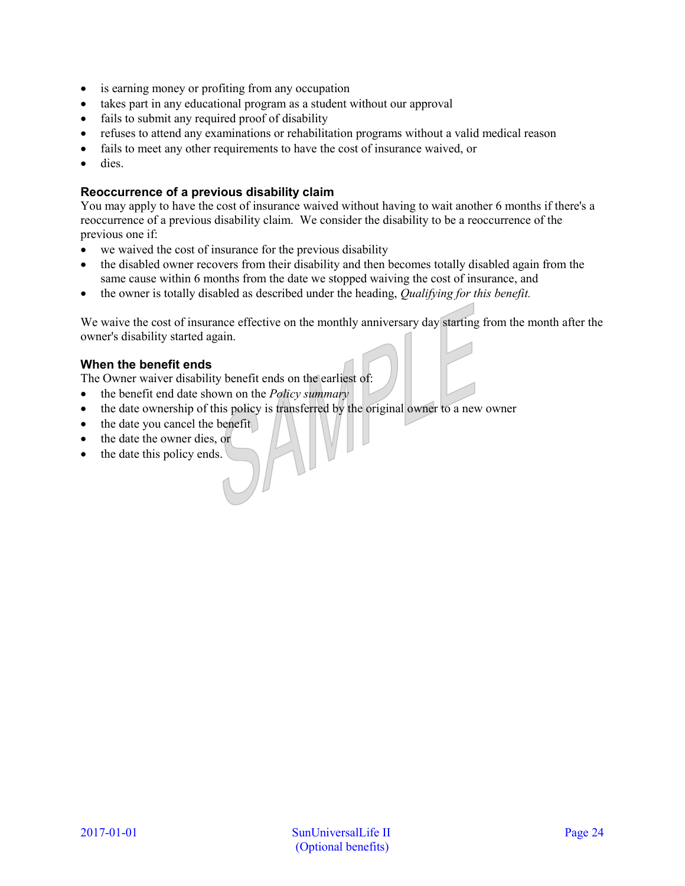- is earning money or profiting from any occupation
- takes part in any educational program as a student without our approval
- fails to submit any required proof of disability
- refuses to attend any examinations or rehabilitation programs without a valid medical reason
- fails to meet any other requirements to have the cost of insurance waived, or
- dies.

# **Reoccurrence of a previous disability claim**

You may apply to have the cost of insurance waived without having to wait another 6 months if there's a reoccurrence of a previous disability claim. We consider the disability to be a reoccurrence of the previous one if:

- we waived the cost of insurance for the previous disability
- the disabled owner recovers from their disability and then becomes totally disabled again from the same cause within 6 months from the date we stopped waiving the cost of insurance, and
- the owner is totally disabled as described under the heading, *Qualifying for this benefit.*

We waive the cost of insurance effective on the monthly anniversary day starting from the month after the owner's disability started again.

# **When the benefit ends**

The Owner waiver disability benefit ends on the earliest of:

- the benefit end date shown on the *Policy summary*
- the date ownership of this policy is transferred by the original owner to a new owner
- the date you cancel the benefit
- the date the owner dies, or
- the date this policy ends.